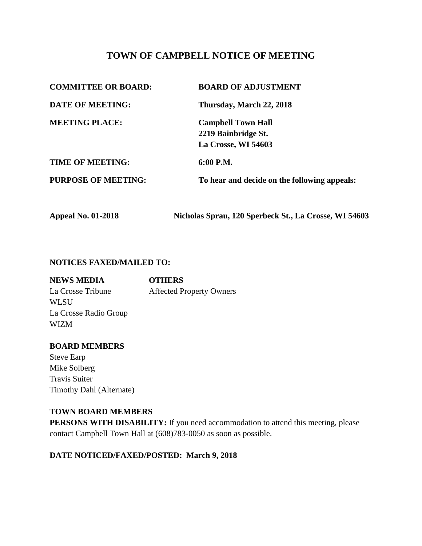# **TOWN OF CAMPBELL NOTICE OF MEETING**

| <b>COMMITTEE OR BOARD:</b> | <b>BOARD OF ADJUSTMENT</b>                   |
|----------------------------|----------------------------------------------|
| <b>DATE OF MEETING:</b>    | Thursday, March 22, 2018                     |
| <b>MEETING PLACE:</b>      | <b>Campbell Town Hall</b>                    |
|                            | 2219 Bainbridge St.                          |
|                            | La Crosse, WI 54603                          |
| <b>TIME OF MEETING:</b>    | $6:00$ P.M.                                  |
| <b>PURPOSE OF MEETING:</b> | To hear and decide on the following appeals: |
|                            |                                              |

**Appeal No. 01-2018 Nicholas Sprau, 120 Sperbeck St., La Crosse, WI 54603**

## **NOTICES FAXED/MAILED TO:**

| <b>NEWS MEDIA</b>     | <b>OTHERS</b>                   |
|-----------------------|---------------------------------|
| La Crosse Tribune     | <b>Affected Property Owners</b> |
| <b>WLSU</b>           |                                 |
| La Crosse Radio Group |                                 |
| <b>WIZM</b>           |                                 |

#### **BOARD MEMBERS**

Steve Earp Mike Solberg Travis Suiter Timothy Dahl (Alternate)

#### **TOWN BOARD MEMBERS**

**PERSONS WITH DISABILITY:** If you need accommodation to attend this meeting, please contact Campbell Town Hall at (608)783-0050 as soon as possible.

### **DATE NOTICED/FAXED/POSTED: March 9, 2018**